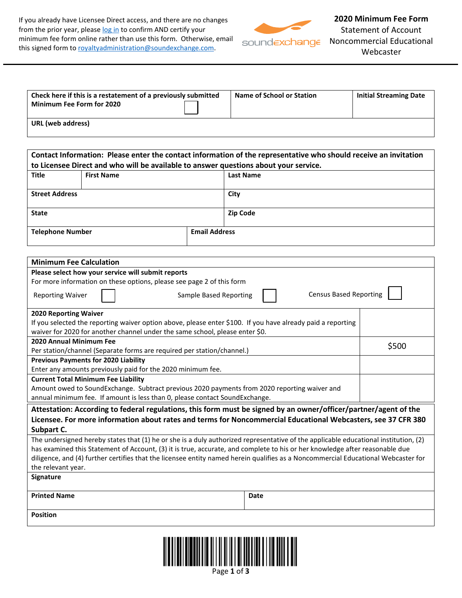If you already have Licensee Direct access, and there are no changes from the prior year, please log in to confirm AND certify your minimum fee form online rather than use this form. Otherwise, email this signed form to royaltyadministration@soundexchange.com.



soundexchange

**2020 Minimum Fee Form**  Statement of Account Noncommercial Educational Webcaster

| Check here if this is a restatement of a previously submitted<br><b>Minimum Fee Form for 2020</b> | Name of School or Station | <b>Initial Streaming Date</b> |
|---------------------------------------------------------------------------------------------------|---------------------------|-------------------------------|
| URL (web address)                                                                                 |                           |                               |

|                                                                                              | Contact Information: Please enter the contact information of the representative who should receive an invitation<br>to Licensee Direct and who will be available to answer questions about your service. |                         |      |  |  |  |
|----------------------------------------------------------------------------------------------|----------------------------------------------------------------------------------------------------------------------------------------------------------------------------------------------------------|-------------------------|------|--|--|--|
| <b>Title</b>                                                                                 | <b>First Name</b><br><b>Last Name</b>                                                                                                                                                                    |                         |      |  |  |  |
| <b>Street Address</b>                                                                        |                                                                                                                                                                                                          | City<br><b>Zip Code</b> |      |  |  |  |
| <b>State</b>                                                                                 |                                                                                                                                                                                                          |                         |      |  |  |  |
| <b>Email Address</b><br><b>Telephone Number</b>                                              |                                                                                                                                                                                                          |                         |      |  |  |  |
|                                                                                              | <b>Minimum Fee Calculation</b>                                                                                                                                                                           |                         |      |  |  |  |
|                                                                                              |                                                                                                                                                                                                          |                         |      |  |  |  |
|                                                                                              | Please select how your service will submit reports                                                                                                                                                       |                         |      |  |  |  |
|                                                                                              | For more information on these options, please see page 2 of this form<br><b>Census Based Reporting</b><br><b>Reporting Waiver</b><br><b>Sample Based Reporting</b>                                       |                         |      |  |  |  |
| 2020 Reporting Waiver                                                                        |                                                                                                                                                                                                          |                         |      |  |  |  |
|                                                                                              | If you selected the reporting waiver option above, please enter \$100. If you have already paid a reporting                                                                                              |                         |      |  |  |  |
|                                                                                              | waiver for 2020 for another channel under the same school, please enter \$0.                                                                                                                             |                         |      |  |  |  |
| 2020 Annual Minimum Fee                                                                      |                                                                                                                                                                                                          |                         |      |  |  |  |
| \$500<br>Per station/channel (Separate forms are required per station/channel.)              |                                                                                                                                                                                                          |                         |      |  |  |  |
| <b>Previous Payments for 2020 Liability</b>                                                  |                                                                                                                                                                                                          |                         |      |  |  |  |
| Enter any amounts previously paid for the 2020 minimum fee.                                  |                                                                                                                                                                                                          |                         |      |  |  |  |
|                                                                                              | <b>Current Total Minimum Fee Liability</b>                                                                                                                                                               |                         |      |  |  |  |
| Amount owed to SoundExchange. Subtract previous 2020 payments from 2020 reporting waiver and |                                                                                                                                                                                                          |                         |      |  |  |  |
| annual minimum fee. If amount is less than 0, please contact SoundExchange.                  |                                                                                                                                                                                                          |                         |      |  |  |  |
|                                                                                              | Attestation: According to federal regulations, this form must be signed by an owner/officer/partner/agent of the                                                                                         |                         |      |  |  |  |
|                                                                                              | Licensee. For more information about rates and terms for Noncommercial Educational Webcasters, see 37 CFR 380                                                                                            |                         |      |  |  |  |
| Subpart C.                                                                                   |                                                                                                                                                                                                          |                         |      |  |  |  |
|                                                                                              | The undersigned hereby states that (1) he or she is a duly authorized representative of the applicable educational institution, (2)                                                                      |                         |      |  |  |  |
|                                                                                              | has examined this Statement of Account, (3) it is true, accurate, and complete to his or her knowledge after reasonable due                                                                              |                         |      |  |  |  |
|                                                                                              | diligence, and (4) further certifies that the licensee entity named herein qualifies as a Noncommercial Educational Webcaster for                                                                        |                         |      |  |  |  |
| the relevant year.                                                                           |                                                                                                                                                                                                          |                         |      |  |  |  |
| Signature                                                                                    |                                                                                                                                                                                                          |                         |      |  |  |  |
| <b>Printed Name</b>                                                                          |                                                                                                                                                                                                          |                         | Date |  |  |  |
| <b>Position</b>                                                                              |                                                                                                                                                                                                          |                         |      |  |  |  |
|                                                                                              |                                                                                                                                                                                                          |                         |      |  |  |  |
|                                                                                              |                                                                                                                                                                                                          |                         |      |  |  |  |

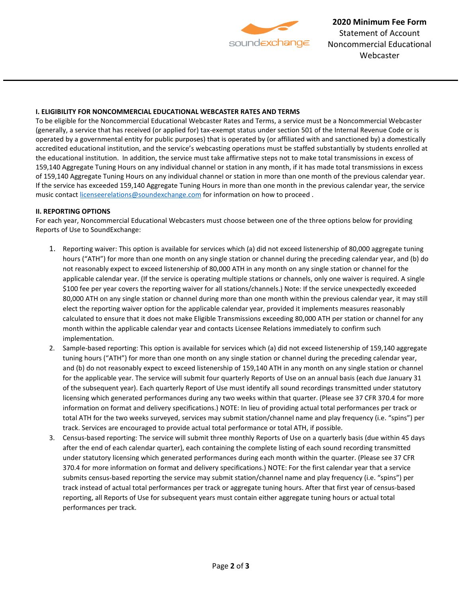

**2020 Minimum Fee Form**  Statement of Account Noncommercial Educational Webcaster

## **I. ELIGIBILITY FOR NONCOMMERCIAL EDUCATIONAL WEBCASTER RATES AND TERMS**

To be eligible for the Noncommercial Educational Webcaster Rates and Terms, a service must be a Noncommercial Webcaster (generally, a service that has received (or applied for) tax-exempt status under section 501 of the Internal Revenue Code or is operated by a governmental entity for public purposes) that is operated by (or affiliated with and sanctioned by) a domestically accredited educational institution, and the service's webcasting operations must be staffed substantially by students enrolled at the educational institution. In addition, the service must take affirmative steps not to make total transmissions in excess of 159,140 Aggregate Tuning Hours on any individual channel or station in any month, if it has made total transmissions in excess of 159,140 Aggregate Tuning Hours on any individual channel or station in more than one month of the previous calendar year. If the service has exceeded 159,140 Aggregate Tuning Hours in more than one month in the previous calendar year, the service music contact licenseerelations@soundexchange.com for information on how to proceed.

## **II. REPORTING OPTIONS**

For each year, Noncommercial Educational Webcasters must choose between one of the three options below for providing Reports of Use to SoundExchange:

- 1. Reporting waiver: This option is available for services which (a) did not exceed listenership of 80,000 aggregate tuning hours ("ATH") for more than one month on any single station or channel during the preceding calendar year, and (b) do not reasonably expect to exceed listenership of 80,000 ATH in any month on any single station or channel for the applicable calendar year. (If the service is operating multiple stations or channels, only one waiver is required. A single \$100 fee per year covers the reporting waiver for all stations/channels.) Note: If the service unexpectedly exceeded 80,000 ATH on any single station or channel during more than one month within the previous calendar year, it may still elect the reporting waiver option for the applicable calendar year, provided it implements measures reasonably calculated to ensure that it does not make Eligible Transmissions exceeding 80,000 ATH per station or channel for any month within the applicable calendar year and contacts Licensee Relations immediately to confirm such implementation.
- 2. Sample-based reporting: This option is available for services which (a) did not exceed listenership of 159,140 aggregate tuning hours ("ATH") for more than one month on any single station or channel during the preceding calendar year, and (b) do not reasonably expect to exceed listenership of 159,140 ATH in any month on any single station or channel for the applicable year. The service will submit four quarterly Reports of Use on an annual basis (each due January 31 of the subsequent year). Each quarterly Report of Use must identify all sound recordings transmitted under statutory licensing which generated performances during any two weeks within that quarter. (Please see 37 CFR 370.4 for more information on format and delivery specifications.) NOTE: In lieu of providing actual total performances per track or total ATH for the two weeks surveyed, services may submit station/channel name and play frequency (i.e. "spins") per track. Services are encouraged to provide actual total performance or total ATH, if possible.
- 3. Census-based reporting: The service will submit three monthly Reports of Use on a quarterly basis (due within 45 days after the end of each calendar quarter), each containing the complete listing of each sound recording transmitted under statutory licensing which generated performances during each month within the quarter. (Please see 37 CFR 370.4 for more information on format and delivery specifications.) NOTE: For the first calendar year that a service submits census-based reporting the service may submit station/channel name and play frequency (i.e. "spins") per track instead of actual total performances per track or aggregate tuning hours. After that first year of census-based reporting, all Reports of Use for subsequent years must contain either aggregate tuning hours or actual total performances per track.